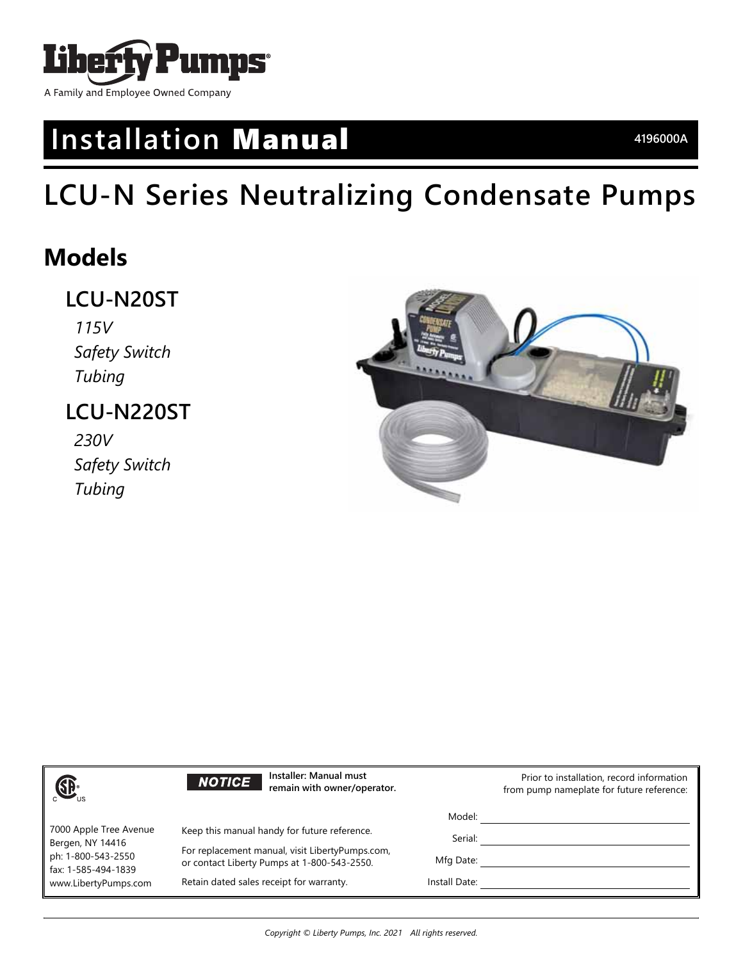

# **Installation** Manual **4196000A**

# **LCU-N Series Neutralizing Condensate Pumps**

# **Models**

## **LCU-N20ST**

*115V Safety Switch Tubing*

## **LCU-N220ST**

*230V Safety Switch Tubing*



| $\bigoplus_{\cup s}$                                                                                            | Installer: Manual must<br><b>NOTICE</b><br>remain with owner/operator.                                                                         |               | Prior to installation, record information<br>from pump nameplate for future reference: |
|-----------------------------------------------------------------------------------------------------------------|------------------------------------------------------------------------------------------------------------------------------------------------|---------------|----------------------------------------------------------------------------------------|
|                                                                                                                 |                                                                                                                                                | Model:        |                                                                                        |
| 7000 Apple Tree Avenue<br>Bergen, NY 14416<br>ph: 1-800-543-2550<br>fax: 1-585-494-1839<br>www.LibertyPumps.com | Keep this manual handy for future reference.<br>For replacement manual, visit LibertyPumps.com,<br>or contact Liberty Pumps at 1-800-543-2550. | Serial:       |                                                                                        |
|                                                                                                                 |                                                                                                                                                | Mfg Date:     |                                                                                        |
|                                                                                                                 | Retain dated sales receipt for warranty.                                                                                                       | Install Date: |                                                                                        |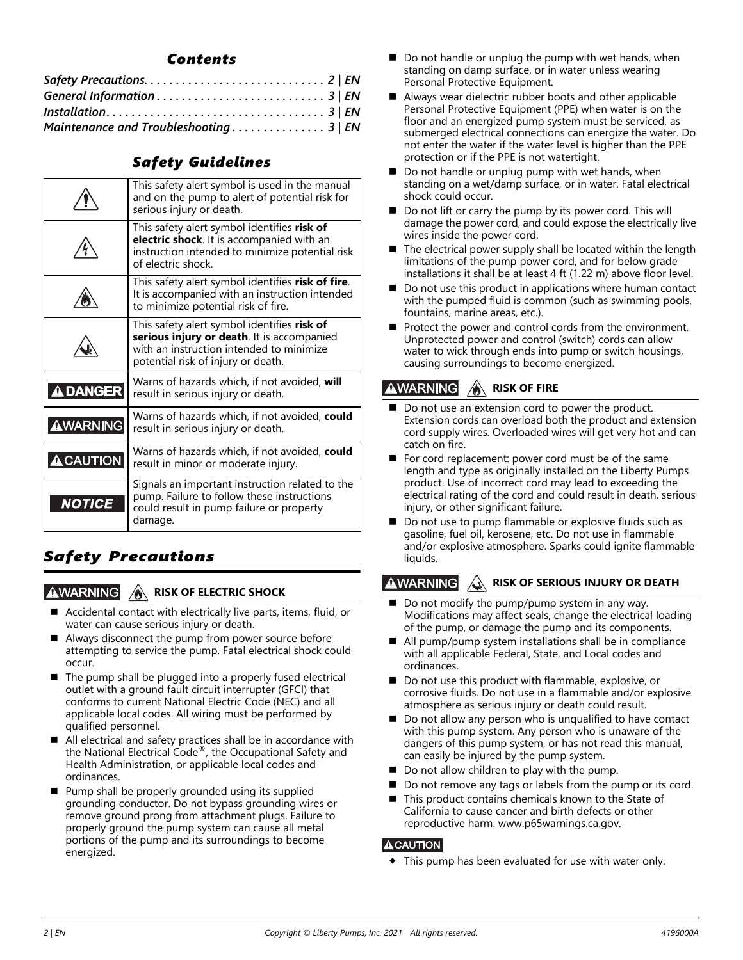### *Contents*

| Maintenance and Troubleshooting 3   EN |  |
|----------------------------------------|--|

### *Safety Guidelines*

|                 | This safety alert symbol is used in the manual<br>and on the pump to alert of potential risk for<br>serious injury or death.                                                |
|-----------------|-----------------------------------------------------------------------------------------------------------------------------------------------------------------------------|
|                 | This safety alert symbol identifies risk of<br>electric shock. It is accompanied with an<br>instruction intended to minimize potential risk<br>of electric shock.           |
|                 | This safety alert symbol identifies risk of fire.<br>It is accompanied with an instruction intended<br>to minimize potential risk of fire.                                  |
|                 | This safety alert symbol identifies risk of<br>serious injury or death. It is accompanied<br>with an instruction intended to minimize<br>potential risk of injury or death. |
| <b>ADANGER</b>  | Warns of hazards which, if not avoided, will<br>result in serious injury or death.                                                                                          |
| <b>AWARNING</b> | Warns of hazards which, if not avoided, could<br>result in serious injury or death.                                                                                         |
| <b>ACAUTION</b> | Warns of hazards which, if not avoided, could<br>result in minor or moderate injury.                                                                                        |
| <b>NOTICE</b>   | Signals an important instruction related to the<br>pump. Failure to follow these instructions<br>could result in pump failure or property<br>damage.                        |

### <span id="page-1-0"></span>*Safety Precautions*

#### **∆WARNING RISK OF ELECTRIC SHOCK**

- Accidental contact with electrically live parts, items, fluid, or water can cause serious injury or death.
- Always disconnect the pump from power source before attempting to service the pump. Fatal electrical shock could occur.
- The pump shall be plugged into a properly fused electrical outlet with a ground fault circuit interrupter (GFCI) that conforms to current National Electric Code (NEC) and all applicable local codes. All wiring must be performed by qualified personnel.
- All electrical and safety practices shall be in accordance with the National Electrical Code®, the Occupational Safety and Health Administration, or applicable local codes and ordinances.
- Pump shall be properly grounded using its supplied grounding conductor. Do not bypass grounding wires or remove ground prong from attachment plugs. Failure to properly ground the pump system can cause all metal portions of the pump and its surroundings to become energized.
- $\blacksquare$  Do not handle or unplug the pump with wet hands, when standing on damp surface, or in water unless wearing Personal Protective Equipment.
- Always wear dielectric rubber boots and other applicable Personal Protective Equipment (PPE) when water is on the floor and an energized pump system must be serviced, as submerged electrical connections can energize the water. Do not enter the water if the water level is higher than the PPE protection or if the PPE is not watertight.
- Do not handle or unplug pump with wet hands, when standing on a wet/damp surface, or in water. Fatal electrical shock could occur.
- Do not lift or carry the pump by its power cord. This will damage the power cord, and could expose the electrically live wires inside the power cord.
- The electrical power supply shall be located within the length limitations of the pump power cord, and for below grade installations it shall be at least 4 ft (1.22 m) above floor level.
- Do not use this product in applications where human contact with the pumped fluid is common (such as swimming pools, fountains, marine areas, etc.).
- Protect the power and control cords from the environment. Unprotected power and control (switch) cords can allow water to wick through ends into pump or switch housings, causing surroundings to become energized.

#### **AWARNING RISK OF FIRE**

- Do not use an extension cord to power the product. Extension cords can overload both the product and extension cord supply wires. Overloaded wires will get very hot and can catch on fire.
- For cord replacement: power cord must be of the same length and type as originally installed on the Liberty Pumps product. Use of incorrect cord may lead to exceeding the electrical rating of the cord and could result in death, serious injury, or other significant failure.
- Do not use to pump flammable or explosive fluids such as gasoline, fuel oil, kerosene, etc. Do not use in flammable and/or explosive atmosphere. Sparks could ignite flammable liquids.

#### **AWARNING RISK OF SERIOUS INJURY OR DEATH**

- Do not modify the pump/pump system in any way. Modifications may affect seals, change the electrical loading of the pump, or damage the pump and its components.
- All pump/pump system installations shall be in compliance with all applicable Federal, State, and Local codes and ordinances.
- Do not use this product with flammable, explosive, or corrosive fluids. Do not use in a flammable and/or explosive atmosphere as serious injury or death could result.
- Do not allow any person who is unqualified to have contact with this pump system. Any person who is unaware of the dangers of this pump system, or has not read this manual, can easily be injured by the pump system.
- $\blacksquare$  Do not allow children to play with the pump.
- Do not remove any tags or labels from the pump or its cord.
- [This product contains chemicals known to the State of](http://www.p65warnings.ca.gov)  California to cause cancer and birth defects or other reproductive harm. www.p65warnings.ca.gov.

### **ACAUTION**

This pump has been evaluated for use with water only.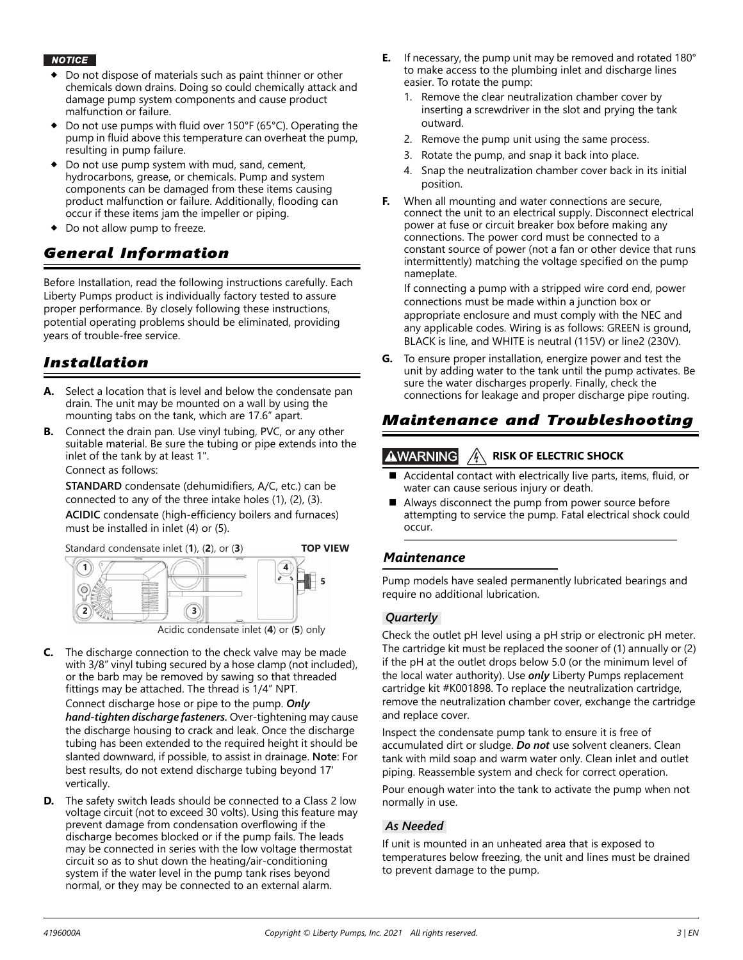#### **NOTICE**

- Do not dispose of materials such as paint thinner or other chemicals down drains. Doing so could chemically attack and damage pump system components and cause product malfunction or failure.
- Do not use pumps with fluid over 150°F (65°C). Operating the pump in fluid above this temperature can overheat the pump, resulting in pump failure.
- Do not use pump system with mud, sand, cement, hydrocarbons, grease, or chemicals. Pump and system components can be damaged from these items causing product malfunction or failure. Additionally, flooding can occur if these items jam the impeller or piping.
- ◆ Do not allow pump to freeze.

### <span id="page-2-0"></span>*General Information*

Before Installation, read the following instructions carefully. Each Liberty Pumps product is individually factory tested to assure proper performance. By closely following these instructions, potential operating problems should be eliminated, providing years of trouble-free service.

### <span id="page-2-1"></span>*Installation*

- **A.** Select a location that is level and below the condensate pan drain. The unit may be mounted on a wall by using the mounting tabs on the tank, which are 17.6" apart.
- **B.** Connect the drain pan. Use vinyl tubing, PVC, or any other suitable material. Be sure the tubing or pipe extends into the inlet of the tank by at least 1".

Connect as follows:

**STANDARD** condensate (dehumidifiers, A/C, etc.) can be connected to any of the three intake holes (1), (2), (3).

**ACIDIC** condensate (high-efficiency boilers and furnaces) must be installed in inlet (4) or (5).



Acidic condensate inlet (**4**) or (**5**) only

**C.** The discharge connection to the check valve may be made with 3/8" vinyl tubing secured by a hose clamp (not included), or the barb may be removed by sawing so that threaded fittings may be attached. The thread is 1/4" NPT.

Connect discharge hose or pipe to the pump. *Only hand-tighten discharge fasteners.* Over-tightening may cause the discharge housing to crack and leak. Once the discharge tubing has been extended to the required height it should be slanted downward, if possible, to assist in drainage. **Note**: For best results, do not extend discharge tubing beyond 17' vertically.

**D.** The safety switch leads should be connected to a Class 2 low voltage circuit (not to exceed 30 volts). Using this feature may prevent damage from condensation overflowing if the discharge becomes blocked or if the pump fails. The leads may be connected in series with the low voltage thermostat circuit so as to shut down the heating/air-conditioning system if the water level in the pump tank rises beyond normal, or they may be connected to an external alarm.

- **E.** If necessary, the pump unit may be removed and rotated 180° to make access to the plumbing inlet and discharge lines easier. To rotate the pump:
	- 1. Remove the clear neutralization chamber cover by inserting a screwdriver in the slot and prying the tank outward.
	- 2. Remove the pump unit using the same process.
	- 3. Rotate the pump, and snap it back into place.
	- 4. Snap the neutralization chamber cover back in its initial position.
- **F.** When all mounting and water connections are secure, connect the unit to an electrical supply. Disconnect electrical power at fuse or circuit breaker box before making any connections. The power cord must be connected to a constant source of power (not a fan or other device that runs intermittently) matching the voltage specified on the pump nameplate.

If connecting a pump with a stripped wire cord end, power connections must be made within a junction box or appropriate enclosure and must comply with the NEC and any applicable codes. Wiring is as follows: GREEN is ground, BLACK is line, and WHITE is neutral (115V) or line2 (230V).

**G.** To ensure proper installation, energize power and test the unit by adding water to the tank until the pump activates. Be sure the water discharges properly. Finally, check the connections for leakage and proper discharge pipe routing.

### <span id="page-2-2"></span>*Maintenance and Troubleshooting*

#### **AWARNING RISK OF ELECTRIC SHOCK**

- Accidental contact with electrically live parts, items, fluid, or water can cause serious injury or death.
- Always disconnect the pump from power source before attempting to service the pump. Fatal electrical shock could occur.

### *Maintenance*

Pump models have sealed permanently lubricated bearings and require no additional lubrication.

### *Quarterly*

Check the outlet pH level using a pH strip or electronic pH meter. The cartridge kit must be replaced the sooner of (1) annually or (2) if the pH at the outlet drops below 5.0 (or the minimum level of the local water authority). Use *only* Liberty Pumps replacement cartridge kit #K001898. To replace the neutralization cartridge, remove the neutralization chamber cover, exchange the cartridge and replace cover.

Inspect the condensate pump tank to ensure it is free of accumulated dirt or sludge. *Do not* use solvent cleaners. Clean tank with mild soap and warm water only. Clean inlet and outlet piping. Reassemble system and check for correct operation.

Pour enough water into the tank to activate the pump when not normally in use.

### *As Needed*

If unit is mounted in an unheated area that is exposed to temperatures below freezing, the unit and lines must be drained to prevent damage to the pump.